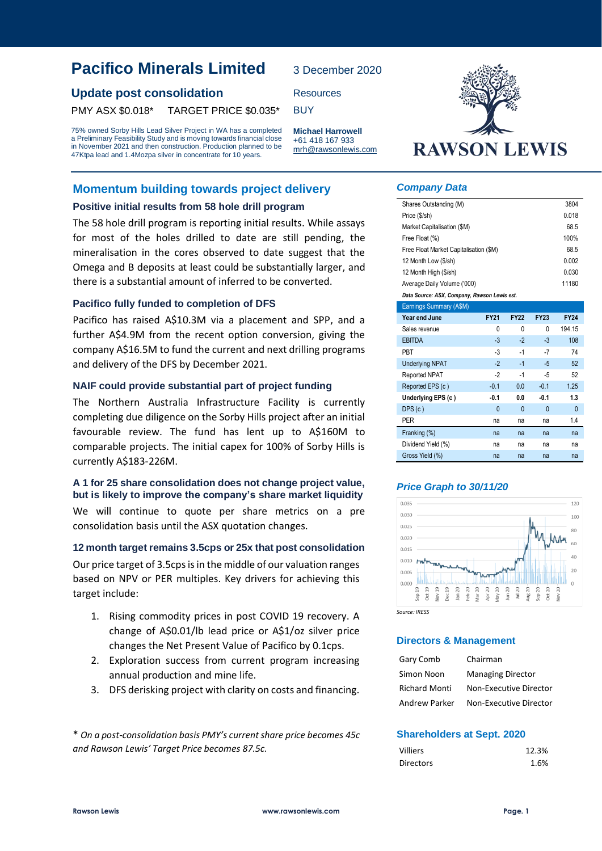# **Update post consolidation** Resources

PMY ASX \$0.018\* TARGET PRICE \$0.035\* BUY

75% owned Sorby Hills Lead Silver Project in WA has a completed a Preliminary Feasibility Study and is moving towards financial close in November 2021 and then construction. Production planned to be 47Ktpa lead and 1.4Mozpa silver in concentrate for 10 years.

### **Momentum building towards project delivery**

#### **Positive initial results from 58 hole drill program**

The 58 hole drill program is reporting initial results. While assays for most of the holes drilled to date are still pending, the mineralisation in the cores observed to date suggest that the Omega and B deposits at least could be substantially larger, and there is a substantial amount of inferred to be converted.

#### **Pacifico fully funded to completion of DFS**

Pacifico has raised A\$10.3M via a placement and SPP, and a further A\$4.9M from the recent option conversion, giving the company A\$16.5M to fund the current and next drilling programs and delivery of the DFS by December 2021.

#### **NAIF could provide substantial part of project funding**

The Northern Australia Infrastructure Facility is currently completing due diligence on the Sorby Hills project after an initial favourable review. The fund has lent up to A\$160M to comparable projects. The initial capex for 100% of Sorby Hills is currently A\$183-226M.

#### **A 1 for 25 share consolidation does not change project value, but is likely to improve the company's share market liquidity**

We will continue to quote per share metrics on a pre consolidation basis until the ASX quotation changes.

#### **12 month target remains3.5cps or 25x that post consolidation**

Our price target of 3.5cps is in the middle of our valuation ranges based on NPV or PER multiples. Key drivers for achieving this target include:

- 1. Rising commodity prices in post COVID 19 recovery. A change of A\$0.01/lb lead price or A\$1/oz silver price changes the Net Present Value of Pacifico by 0.1cps.
- 2. Exploration success from current program increasing annual production and mine life.
- 3. DFS derisking project with clarity on costs and financing.

\* *On a post-consolidation basis PMY's current share price becomes 45c and Rawson Lewis' Target Price becomes 87.5c.*



#### *Company Data*

3 December 2020

**Michael Harrowell** +61 418 167 933 mrh@rawsonlewis.com

| Shares Outstanding (M)                       |              |              |              | 3804           |  |  |  |
|----------------------------------------------|--------------|--------------|--------------|----------------|--|--|--|
| 0.018<br>Price (\$/sh)                       |              |              |              |                |  |  |  |
| 68.5<br>Market Capitalisation (\$M)          |              |              |              |                |  |  |  |
| 100%<br>Free Float (%)                       |              |              |              |                |  |  |  |
| Free Float Market Capitalisation (\$M)       |              |              |              | 68.5           |  |  |  |
| 12 Month Low (\$/sh)                         |              |              |              | 0.002          |  |  |  |
| 12 Month High (\$/sh)                        |              |              |              | 0.030          |  |  |  |
| Average Daily Volume ('000)                  |              |              |              | 11180          |  |  |  |
| Data Source: ASX, Company, Rawson Lewis est. |              |              |              |                |  |  |  |
| Earnings Summary (A\$M)                      |              |              |              |                |  |  |  |
| Year end June                                | <b>FY21</b>  | <b>FY22</b>  | <b>FY23</b>  | <b>FY24</b>    |  |  |  |
| Sales revenue                                | 0            | 0            | 0            | 194.15         |  |  |  |
| <b>EBITDA</b>                                | $-3$         | $-2$         | $-3$         | 108            |  |  |  |
| <b>PBT</b>                                   | $-3$         | $-1$         | $-7$         | 74             |  |  |  |
| <b>Underlying NPAT</b>                       | $-2$         | $-1$         | $-5$         | 52             |  |  |  |
| Reported NPAT                                | $-2$         | $-1$         | -5           | 52             |  |  |  |
| Reported EPS (c)                             | $-0.1$       | 0.0          | $-0.1$       | 1.25           |  |  |  |
| Underlying EPS (c)                           | $-0.1$       | 0.0          | $-0.1$       | 1.3            |  |  |  |
| DPS(c)                                       | $\mathbf{0}$ | $\mathbf{0}$ | $\mathbf{0}$ | $\overline{0}$ |  |  |  |
| <b>PER</b>                                   | na           | na           | na           | 1.4            |  |  |  |
| Franking (%)                                 | na           | na           | na           | na             |  |  |  |
| Dividend Yield (%)                           | na           | na           | na           | na             |  |  |  |
| Gross Yield (%)                              | na           | na           | na           | na             |  |  |  |

### *Price Graph to 30/11/20*



*Source: IRESS*

#### **Directors & Management**

| Gary Comb            | Chairman                 |
|----------------------|--------------------------|
| Simon Noon           | <b>Managing Director</b> |
| <b>Richard Monti</b> | Non-Executive Director   |
| <b>Andrew Parker</b> | Non-Executive Director   |

#### **Shareholders at Sept. 2020**

| Villiers         | 12.3% |
|------------------|-------|
| <b>Directors</b> | 1.6%  |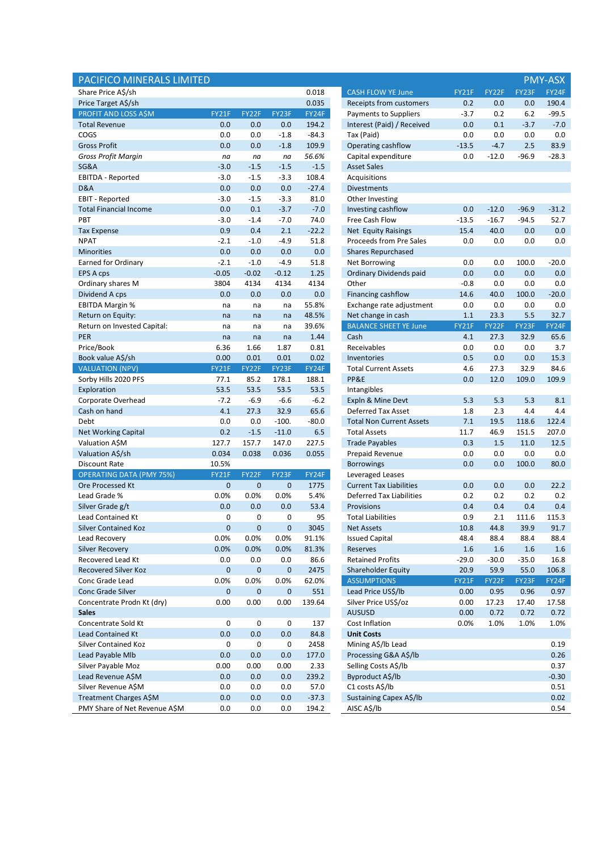| PACIFICO MINERALS LIMITED                       |                   |                   |                   |              |                                               |                 |                 |                 | <b>PMY-ASX</b> |
|-------------------------------------------------|-------------------|-------------------|-------------------|--------------|-----------------------------------------------|-----------------|-----------------|-----------------|----------------|
| Share Price A\$/sh                              |                   |                   |                   | 0.018        | <b>CASH FLOW YE June</b>                      | FY21F           | FY22F           | FY23F           | FY24F          |
| Price Target A\$/sh                             |                   |                   |                   | 0.035        | Receipts from customers                       | 0.2             | 0.0             | 0.0             | 190.4          |
| <b>PROFIT AND LOSS A\$M</b>                     | FY21F             | FY22F             | FY23F             | FY24F        | Payments to Suppliers                         | $-3.7$          | 0.2             | 6.2             | $-99.5$        |
| <b>Total Revenue</b>                            | 0.0               | 0.0               | 0.0               | 194.2        | Interest (Paid) / Received                    | 0.0             | 0.1             | $-3.7$          | $-7.0$         |
| COGS                                            | 0.0               | 0.0               | $-1.8$            | $-84.3$      | Tax (Paid)                                    | 0.0             | 0.0             | 0.0             | 0.0            |
| <b>Gross Profit</b>                             | 0.0               | 0.0               | $-1.8$            | 109.9        | Operating cashflow                            | $-13.5$         | $-4.7$          | 2.5             | 83.9           |
| <b>Gross Profit Margin</b>                      | na                | na                | na                | 56.6%        | Capital expenditure                           | 0.0             | $-12.0$         | $-96.9$         | $-28.3$        |
| SG&A                                            | $-3.0$            | $-1.5$            | $-1.5$            | $-1.5$       | <b>Asset Sales</b>                            |                 |                 |                 |                |
| <b>EBITDA - Reported</b>                        | $-3.0$            | $-1.5$            | $-3.3$            | 108.4        | Acquisitions                                  |                 |                 |                 |                |
| D&A                                             | 0.0               | 0.0               | 0.0               | $-27.4$      | <b>Divestments</b>                            |                 |                 |                 |                |
| EBIT - Reported                                 | $-3.0$            | $-1.5$            | $-3.3$            | 81.0         | Other Investing                               |                 |                 |                 |                |
| <b>Total Financial Income</b>                   | 0.0               | 0.1               | $-3.7$            | $-7.0$       | Investing cashflow                            | 0.0             | $-12.0$         | $-96.9$         | $-31.2$        |
| PBT                                             | $-3.0$            | $-1.4$            | $-7.0$            | 74.0         | Free Cash Flow                                | $-13.5$         | $-16.7$         | $-94.5$         | 52.7           |
| <b>Tax Expense</b>                              | 0.9               | 0.4               | 2.1               | $-22.2$      | Net Equity Raisings                           | 15.4            | 40.0            | 0.0             | 0.0            |
| <b>NPAT</b>                                     | $-2.1$            | $-1.0$            | $-4.9$            | 51.8         | Proceeds from Pre Sales                       | 0.0             | 0.0             | 0.0             | 0.0            |
| <b>Minorities</b>                               | 0.0               | 0.0               | 0.0               | 0.0          | <b>Shares Repurchased</b>                     |                 |                 |                 |                |
| <b>Earned for Ordinary</b>                      | $-2.1$            | $-1.0$            | $-4.9$            | 51.8         | Net Borrowing                                 | 0.0             | 0.0             | 100.0           | $-20.0$        |
| EPS A cps                                       | $-0.05$           | $-0.02$           | $-0.12$           | 1.25         | Ordinary Dividends paid                       | 0.0             | 0.0             | 0.0             | 0.0            |
| Ordinary shares M                               | 3804              | 4134              | 4134              | 4134         | Other                                         | $-0.8$          | 0.0             | 0.0             | 0.0            |
| Dividend A cps                                  | 0.0               | 0.0               | 0.0               | 0.0          | Financing cashflow                            | 14.6            | 40.0            | 100.0           | $-20.0$        |
| <b>EBITDA Margin %</b>                          | na                | na                | na                | 55.8%        | Exchange rate adjustment                      | 0.0             | 0.0             | 0.0             | 0.0            |
| Return on Equity:                               | na                | na                | na                | 48.5%        | Net change in cash                            | 1.1             | 23.3            | 5.5             | 32.7           |
| Return on Invested Capital:                     | na                | na                | na                | 39.6%        | <b>BALANCE SHEET YE June</b>                  | FY21F           | FY22F           | FY23F           | FY24F          |
| <b>PER</b>                                      | na                | na                | na                | 1.44         | Cash                                          | 4.1             | 27.3            | 32.9            | 65.6           |
| Price/Book                                      | 6.36              | 1.66              | 1.87              | 0.81         | Receivables                                   | 0.0             | 0.0             | 0.0             | 3.7            |
| Book value A\$/sh                               | 0.00              | 0.01              | 0.01              | 0.02         | Inventories                                   | 0.5             | 0.0             | 0.0             | 15.3           |
| <b>VALUATION (NPV)</b>                          | FY21F             | FY22F             | FY23F             | FY24F        | <b>Total Current Assets</b>                   | 4.6             | 27.3            | 32.9            | 84.6           |
| Sorby Hills 2020 PFS                            | 77.1              | 85.2              | 178.1             | 188.1        | PP&E                                          | 0.0             | 12.0            | 109.0           | 109.9          |
| Exploration                                     | 53.5              | 53.5              | 53.5              | 53.5         | Intangibles                                   |                 |                 |                 |                |
| Corporate Overhead                              | $-7.2$            | $-6.9$            | $-6.6$            | $-6.2$       | Expln & Mine Devt                             | 5.3             | 5.3             | 5.3             | 8.1            |
| Cash on hand                                    | 4.1               | 27.3              | 32.9              | 65.6         | Deferred Tax Asset                            | 1.8             | 2.3             | 4.4             | 4.4            |
| Debt                                            | 0.0               | 0.0               | $-100.$           | $-80.0$      | <b>Total Non Current Assets</b>               | 7.1             | 19.5            | 118.6           | 122.4          |
| <b>Net Working Capital</b>                      | 0.2               | $-1.5$            | $-11.0$           | 6.5          | <b>Total Assets</b>                           | 11.7            | 46.9            | 151.5           | 207.0          |
| Valuation A\$M                                  | 127.7             | 157.7             | 147.0             | 227.5        | <b>Trade Payables</b>                         | 0.3             | 1.5             | 11.0            | 12.5           |
| Valuation A\$/sh                                | 0.034             | 0.038             | 0.036             | 0.055        | Prepaid Revenue                               | 0.0             | 0.0             | 0.0             | 0.0            |
| <b>Discount Rate</b>                            | 10.5%             |                   |                   |              | <b>Borrowings</b>                             | 0.0             | 0.0             | 100.0           | 80.0           |
| <b>OPERATING DATA (PMY 75%)</b>                 | FY21F             | FY22F             | FY23F             | FY24F        | Leveraged Leases                              |                 |                 |                 |                |
| Ore Processed Kt                                | $\pmb{0}$         | $\pmb{0}$         | $\pmb{0}$         | 1775         | <b>Current Tax Liabilities</b>                | 0.0             | 0.0             | 0.0             | 22.2           |
| Lead Grade %                                    | 0.0%              | 0.0%              | 0.0%              | 5.4%         | <b>Deferred Tax Liabilities</b>               | 0.2             | 0.2             | 0.2             | 0.2            |
| Silver Grade g/t                                | 0.0               | 0.0               | 0.0               | 53.4         | Provisions                                    | 0.4             | 0.4             | 0.4             | 0.4            |
| <b>Lead Contained Kt</b>                        | 0                 | 0                 | 0                 | 95           | <b>Total Liabilities</b>                      | 0.9             | 2.1             | 111.6           | 115.3          |
| Silver Contained Koz                            | 0                 | 0                 | 0                 | 3045         | Net Assets                                    | 10.8            | 44.8            | 39.9            | 91.7           |
| Lead Recovery                                   | 0.0%              | 0.0%<br>0.0%      | 0.0%              | 91.1%        | <b>Issued Capital</b>                         | 48.4<br>1.6     | 88.4            | 88.4<br>1.6     | 88.4           |
| <b>Silver Recovery</b><br>Recovered Lead Kt     | 0.0%              |                   | 0.0%              | 81.3%        | Reserves                                      |                 | 1.6             |                 | 1.6            |
| Recovered Silver Koz                            | 0.0<br>$\pmb{0}$  | 0.0<br>$\pmb{0}$  | 0.0<br>$\pmb{0}$  | 86.6<br>2475 | <b>Retained Profits</b><br>Shareholder Equity | $-29.0$<br>20.9 | $-30.0$<br>59.9 | $-35.0$<br>55.0 | 16.8<br>106.8  |
| Conc Grade Lead                                 | 0.0%              | 0.0%              | 0.0%              | 62.0%        | <b>ASSUMPTIONS</b>                            | FY21F           | FY22F           | FY23F           | FY24F          |
|                                                 |                   |                   |                   | 551          | Lead Price US\$/lb                            |                 |                 |                 |                |
| Conc Grade Silver<br>Concentrate Prodn Kt (dry) | $\pmb{0}$<br>0.00 | $\pmb{0}$<br>0.00 | $\pmb{0}$<br>0.00 | 139.64       | Silver Price US\$/oz                          | 0.00<br>0.00    | 0.95<br>17.23   | 0.96<br>17.40   | 0.97<br>17.58  |
| <b>Sales</b>                                    |                   |                   |                   |              | <b>AUSUSD</b>                                 | 0.00            | 0.72            | 0.72            | 0.72           |
| Concentrate Sold Kt                             | 0                 | 0                 | 0                 | 137          | Cost Inflation                                | 0.0%            | 1.0%            | 1.0%            | 1.0%           |
| Lead Contained Kt                               | 0.0               | 0.0               | 0.0               | 84.8         | <b>Unit Costs</b>                             |                 |                 |                 |                |
| Silver Contained Koz                            | 0                 | 0                 | 0                 | 2458         | Mining A\$/lb Lead                            |                 |                 |                 | 0.19           |
| Lead Payable Mlb                                | 0.0               | 0.0               | 0.0               | 177.0        | Processing G&A A\$/lb                         |                 |                 |                 | 0.26           |
| Silver Payable Moz                              | 0.00              | 0.00              | 0.00              | 2.33         | Selling Costs A\$/lb                          |                 |                 |                 | 0.37           |
| Lead Revenue A\$M                               | 0.0               | 0.0               | 0.0               | 239.2        | Byproduct A\$/lb                              |                 |                 |                 | $-0.30$        |
| Silver Revenue A\$M                             | 0.0               | 0.0               | 0.0               | 57.0         | C1 costs A\$/lb                               |                 |                 |                 | 0.51           |
| Treatment Charges A\$M                          | 0.0               | 0.0               | 0.0               | $-37.3$      | Sustaining Capex A\$/lb                       |                 |                 |                 | 0.02           |
| PMY Share of Net Revenue A\$M                   | 0.0               | 0.0               | 0.0               | 194.2        | AISC A\$/lb                                   |                 |                 |                 | 0.54           |
|                                                 |                   |                   |                   |              |                                               |                 |                 |                 |                |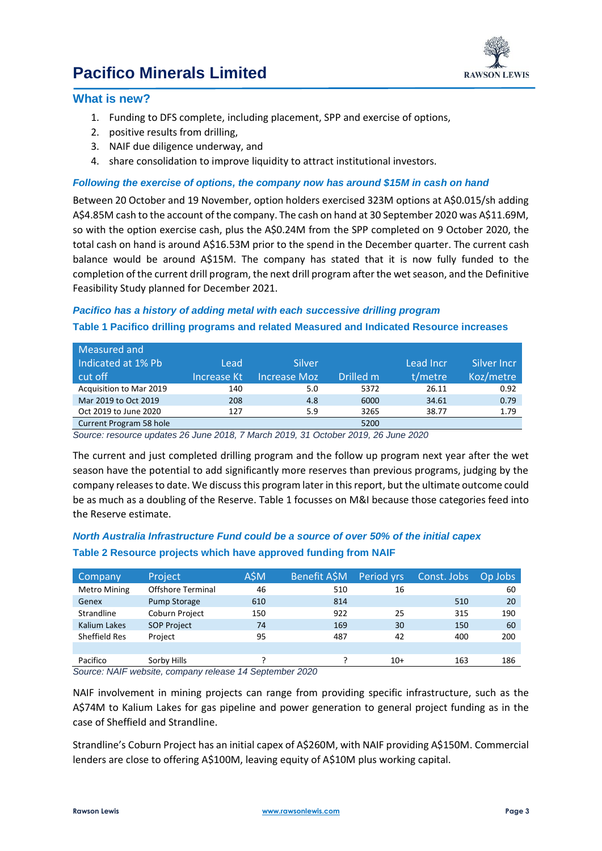

### **What is new?**

- 1. Funding to DFS complete, including placement, SPP and exercise of options,
- 2. positive results from drilling,
- 3. NAIF due diligence underway, and
- 4. share consolidation to improve liquidity to attract institutional investors.

### *Following the exercise of options, the company now has around \$15M in cash on hand*

Between 20 October and 19 November, option holders exercised 323M options at A\$0.015/sh adding A\$4.85M cash to the account of the company. The cash on hand at 30 September 2020 was A\$11.69M, so with the option exercise cash, plus the A\$0.24M from the SPP completed on 9 October 2020, the total cash on hand is around A\$16.53M prior to the spend in the December quarter. The current cash balance would be around A\$15M. The company has stated that it is now fully funded to the completion of the current drill program, the next drill program after the wet season, and the Definitive Feasibility Study planned for December 2021.

### *Pacifico has a history of adding metal with each successive drilling program*

#### **Table 1 Pacifico drilling programs and related Measured and Indicated Resource increases**

| Measured and            |             |              |           |           |             |
|-------------------------|-------------|--------------|-----------|-----------|-------------|
| Indicated at 1% Pb      | Lead        | Silver       |           | Lead Incr | Silver Incr |
| cut off                 | Increase Kt | Increase Moz | Drilled m | t/metre   | Koz/metre   |
| Acquisition to Mar 2019 | 140         | 5.0          | 5372      | 26.11     | 0.92        |
| Mar 2019 to Oct 2019    | 208         | 4.8          | 6000      | 34.61     | 0.79        |
| Oct 2019 to June 2020   | 127         | 5.9          | 3265      | 38.77     | 1.79        |
| Current Program 58 hole |             |              | 5200      |           |             |

*Source: resource updates 26 June 2018, 7 March 2019, 31 October 2019, 26 June 2020*

The current and just completed drilling program and the follow up program next year after the wet season have the potential to add significantly more reserves than previous programs, judging by the company releases to date. We discuss this program later in this report, but the ultimate outcome could be as much as a doubling of the Reserve. Table 1 focusses on M&I because those categories feed into the Reserve estimate.

## *North Australia Infrastructure Fund could be a source of over 50% of the initial capex* **Table 2 Resource projects which have approved funding from NAIF**

| Company             | <b>Project</b>           | A\$M | Benefit ASM | Period vrs | Const. Jobs | Op Jobs |
|---------------------|--------------------------|------|-------------|------------|-------------|---------|
| <b>Metro Mining</b> | <b>Offshore Terminal</b> | 46   | 510         | 16         |             | 60      |
| Genex               | <b>Pump Storage</b>      | 610  | 814         |            | 510         | 20      |
| Strandline          | Coburn Project           | 150  | 922         | 25         | 315         | 190     |
| Kalium Lakes        | <b>SOP Project</b>       | 74   | 169         | 30         | 150         | 60      |
| Sheffield Res       | Project                  | 95   | 487         | 42         | 400         | 200     |
|                     |                          |      |             |            |             |         |
| Pacifico            | Sorby Hills              |      |             | $10+$      | 163         | 186     |

*Source: NAIF website, company release 14 September 2020*

NAIF involvement in mining projects can range from providing specific infrastructure, such as the A\$74M to Kalium Lakes for gas pipeline and power generation to general project funding as in the case of Sheffield and Strandline.

Strandline's Coburn Project has an initial capex of A\$260M, with NAIF providing A\$150M. Commercial lenders are close to offering A\$100M, leaving equity of A\$10M plus working capital.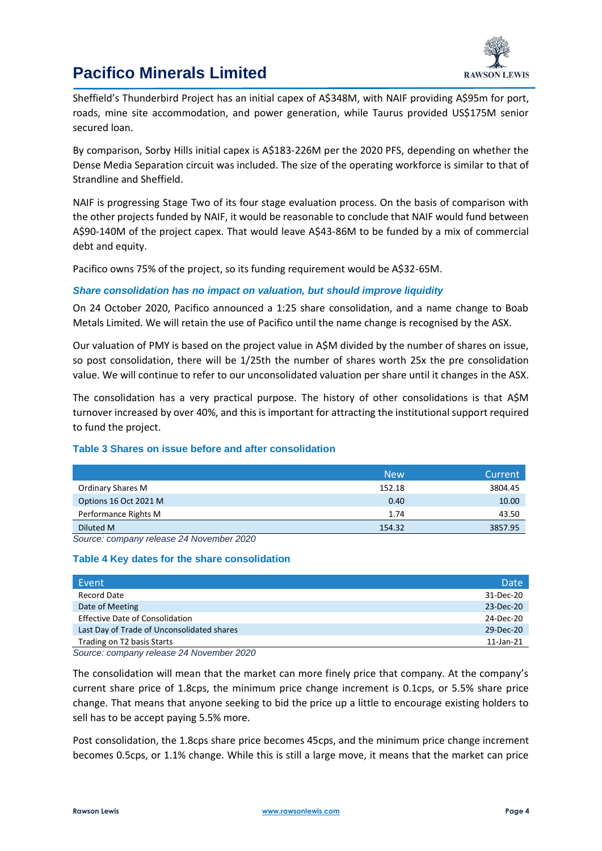

Sheffield's Thunderbird Project has an initial capex of A\$348M, with NAIF providing A\$95m for port, roads, mine site accommodation, and power generation, while Taurus provided US\$175M senior secured loan.

By comparison, Sorby Hills initial capex is A\$183-226M per the 2020 PFS, depending on whether the Dense Media Separation circuit was included. The size of the operating workforce is similar to that of Strandline and Sheffield.

NAIF is progressing Stage Two of its four stage evaluation process. On the basis of comparison with the other projects funded by NAIF, it would be reasonable to conclude that NAIF would fund between A\$90-140M of the project capex. That would leave A\$43-86M to be funded by a mix of commercial debt and equity.

Pacifico owns 75% of the project, so its funding requirement would be A\$32-65M.

### *Share consolidation has no impact on valuation, but should improve liquidity*

On 24 October 2020, Pacifico announced a 1:25 share consolidation, and a name change to Boab Metals Limited. We will retain the use of Pacifico until the name change is recognised by the ASX.

Our valuation of PMY is based on the project value in A\$M divided by the number of shares on issue, so post consolidation, there will be 1/25th the number of shares worth 25x the pre consolidation value. We will continue to refer to our unconsolidated valuation per share until it changes in the ASX.

The consolidation has a very practical purpose. The history of other consolidations is that A\$M turnover increased by over 40%, and this is important for attracting the institutional support required to fund the project.

### **Table 3 Shares on issue before and after consolidation**

|                       | <b>New</b> | Current |
|-----------------------|------------|---------|
| Ordinary Shares M     | 152.18     | 3804.45 |
| Options 16 Oct 2021 M | 0.40       | 10.00   |
| Performance Rights M  | 1.74       | 43.50   |
| Diluted M             | 154.32     | 3857.95 |

*Source: company release 24 November 2020*

#### **Table 4 Key dates for the share consolidation**

| Event                                      | Date            |
|--------------------------------------------|-----------------|
| Record Date                                | 31-Dec-20       |
| Date of Meeting                            | 23-Dec-20       |
| <b>Effective Date of Consolidation</b>     | 24-Dec-20       |
| Last Day of Trade of Unconsolidated shares | 29-Dec-20       |
| Trading on T2 basis Starts                 | $11$ -Jan- $21$ |
| 0.0000                                     |                 |

*Source: company release 24 November 2020*

The consolidation will mean that the market can more finely price that company. At the company's current share price of 1.8cps, the minimum price change increment is 0.1cps, or 5.5% share price change. That means that anyone seeking to bid the price up a little to encourage existing holders to sell has to be accept paying 5.5% more.

Post consolidation, the 1.8cps share price becomes 45cps, and the minimum price change increment becomes 0.5cps, or 1.1% change. While this is still a large move, it means that the market can price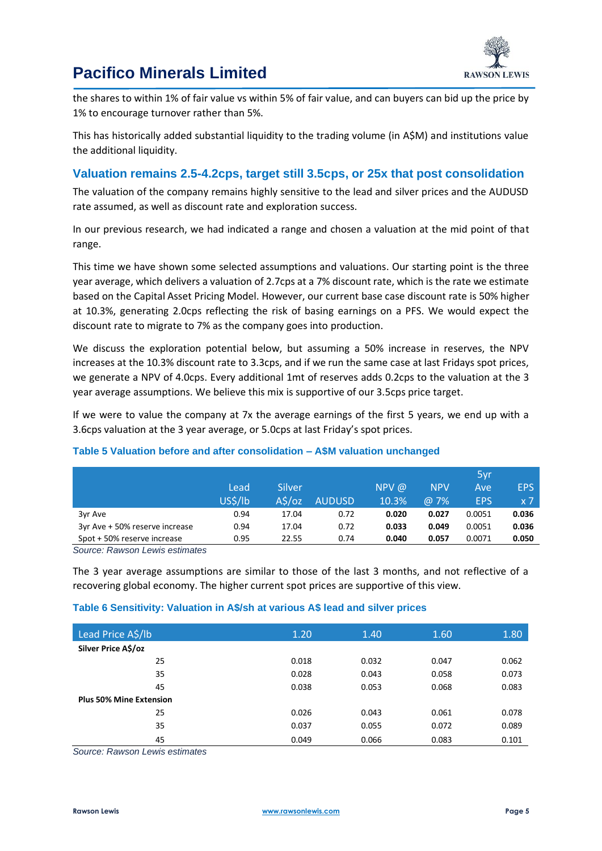

the shares to within 1% of fair value vs within 5% of fair value, and can buyers can bid up the price by 1% to encourage turnover rather than 5%.

This has historically added substantial liquidity to the trading volume (in A\$M) and institutions value the additional liquidity.

### **Valuation remains 2.5-4.2cps, target still 3.5cps, or 25x that post consolidation**

The valuation of the company remains highly sensitive to the lead and silver prices and the AUDUSD rate assumed, as well as discount rate and exploration success.

In our previous research, we had indicated a range and chosen a valuation at the mid point of that range.

This time we have shown some selected assumptions and valuations. Our starting point is the three year average, which delivers a valuation of 2.7cps at a 7% discount rate, which is the rate we estimate based on the Capital Asset Pricing Model. However, our current base case discount rate is 50% higher at 10.3%, generating 2.0cps reflecting the risk of basing earnings on a PFS. We would expect the discount rate to migrate to 7% as the company goes into production.

We discuss the exploration potential below, but assuming a 50% increase in reserves, the NPV increases at the 10.3% discount rate to 3.3cps, and if we run the same case at last Fridays spot prices, we generate a NPV of 4.0cps. Every additional 1mt of reserves adds 0.2cps to the valuation at the 3 year average assumptions. We believe this mix is supportive of our 3.5cps price target.

If we were to value the company at 7x the average earnings of the first 5 years, we end up with a 3.6cps valuation at the 3 year average, or 5.0cps at last Friday's spot prices.

|                                |         |        |               |         |             | 5yr        |                  |
|--------------------------------|---------|--------|---------------|---------|-------------|------------|------------------|
|                                | Lead    | Silver |               | $NPV$ @ | <b>NPV</b>  | Ave        | <b>EPS</b>       |
|                                | US\$/lb | A\$/oz | <b>AUDUSD</b> | 10.3%   | $\omega$ 7% | <b>EPS</b> | $x \overline{7}$ |
| 3yr Ave                        | 0.94    | 17.04  | 0.72          | 0.020   | 0.027       | 0.0051     | 0.036            |
| 3yr Ave + 50% reserve increase | 0.94    | 17.04  | 0.72          | 0.033   | 0.049       | 0.0051     | 0.036            |
| Spot + 50% reserve increase    | 0.95    | 22.55  | 0.74          | 0.040   | 0.057       | 0.0071     | 0.050            |

#### **Table 5 Valuation before and after consolidation – A\$M valuation unchanged**

*Source: Rawson Lewis estimates*

The 3 year average assumptions are similar to those of the last 3 months, and not reflective of a recovering global economy. The higher current spot prices are supportive of this view.

#### **Table 6 Sensitivity: Valuation in A\$/sh at various A\$ lead and silver prices**

| Lead Price A\$/lb              | 1.20  | 1.40  | 1.60  | 1.80  |
|--------------------------------|-------|-------|-------|-------|
| Silver Price A\$/oz            |       |       |       |       |
| 25                             | 0.018 | 0.032 | 0.047 | 0.062 |
| 35                             | 0.028 | 0.043 | 0.058 | 0.073 |
| 45                             | 0.038 | 0.053 | 0.068 | 0.083 |
| <b>Plus 50% Mine Extension</b> |       |       |       |       |
| 25                             | 0.026 | 0.043 | 0.061 | 0.078 |
| 35                             | 0.037 | 0.055 | 0.072 | 0.089 |
| 45                             | 0.049 | 0.066 | 0.083 | 0.101 |

*Source: Rawson Lewis estimates*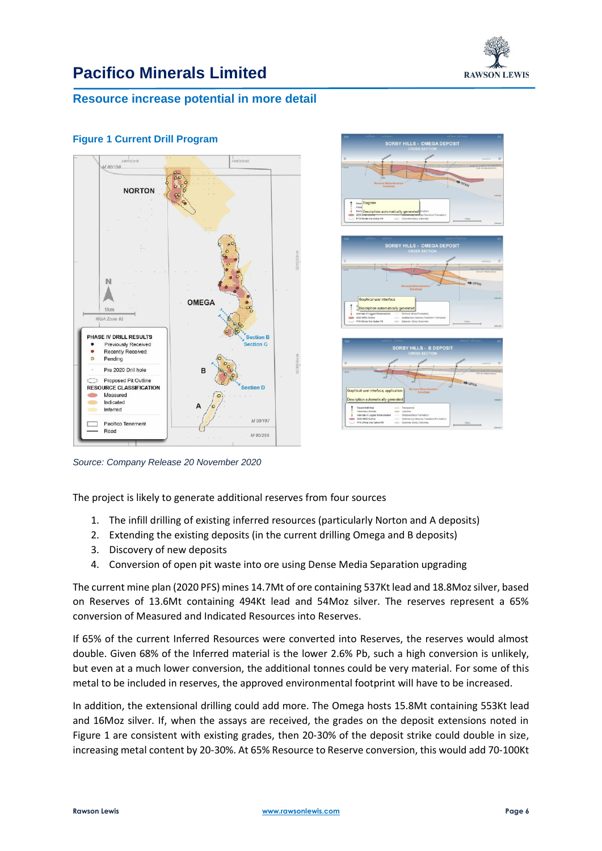

## **Resource increase potential in more detail**



### **Figure 1 Current Drill Program**

*Source: Company Release 20 November 2020*

The project is likely to generate additional reserves from four sources

- 1. The infill drilling of existing inferred resources (particularly Norton and A deposits)
- 2. Extending the existing deposits (in the current drilling Omega and B deposits)
- 3. Discovery of new deposits
- 4. Conversion of open pit waste into ore using Dense Media Separation upgrading

The current mine plan (2020 PFS) mines 14.7Mt of ore containing 537Kt lead and 18.8Moz silver, based on Reserves of 13.6Mt containing 494Kt lead and 54Moz silver. The reserves represent a 65% conversion of Measured and Indicated Resources into Reserves.

If 65% of the current Inferred Resources were converted into Reserves, the reserves would almost double. Given 68% of the Inferred material is the lower 2.6% Pb, such a high conversion is unlikely, but even at a much lower conversion, the additional tonnes could be very material. For some of this metal to be included in reserves, the approved environmental footprint will have to be increased.

In addition, the extensional drilling could add more. The Omega hosts 15.8Mt containing 553Kt lead and 16Moz silver. If, when the assays are received, the grades on the deposit extensions noted in Figure 1 are consistent with existing grades, then 20-30% of the deposit strike could double in size, increasing metal content by 20-30%. At 65% Resource to Reserve conversion, this would add 70-100Kt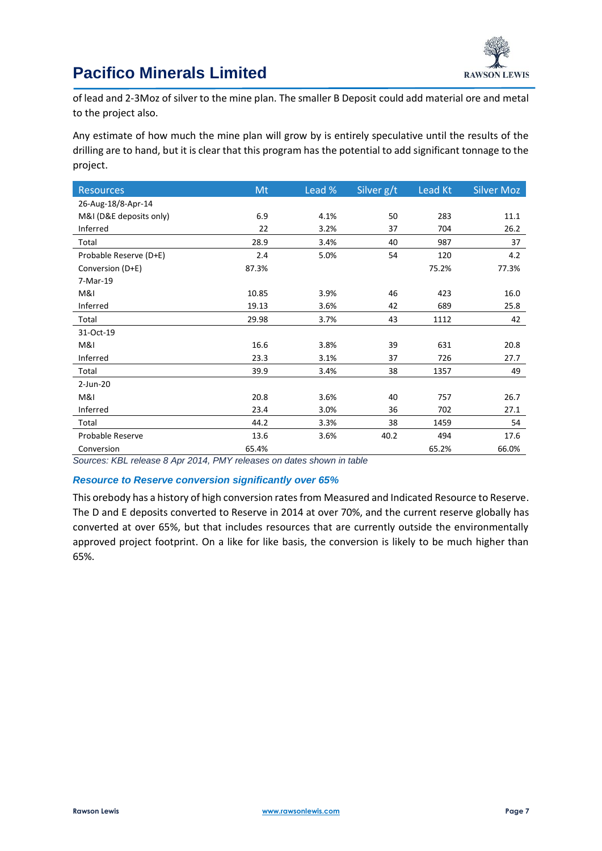

of lead and 2-3Moz of silver to the mine plan. The smaller B Deposit could add material ore and metal to the project also.

Any estimate of how much the mine plan will grow by is entirely speculative until the results of the drilling are to hand, but it is clear that this program has the potential to add significant tonnage to the project.

| <b>Resources</b>        | Mt    | Lead % | Silver g/t | Lead Kt | <b>Silver Moz</b> |
|-------------------------|-------|--------|------------|---------|-------------------|
| 26-Aug-18/8-Apr-14      |       |        |            |         |                   |
| M&I (D&E deposits only) | 6.9   | 4.1%   | 50         | 283     | 11.1              |
| Inferred                | 22    | 3.2%   | 37         | 704     | 26.2              |
| Total                   | 28.9  | 3.4%   | 40         | 987     | 37                |
| Probable Reserve (D+E)  | 2.4   | 5.0%   | 54         | 120     | 4.2               |
| Conversion (D+E)        | 87.3% |        |            | 75.2%   | 77.3%             |
| 7-Mar-19                |       |        |            |         |                   |
| M&I                     | 10.85 | 3.9%   | 46         | 423     | 16.0              |
| Inferred                | 19.13 | 3.6%   | 42         | 689     | 25.8              |
| Total                   | 29.98 | 3.7%   | 43         | 1112    | 42                |
| 31-Oct-19               |       |        |            |         |                   |
| M&I                     | 16.6  | 3.8%   | 39         | 631     | 20.8              |
| Inferred                | 23.3  | 3.1%   | 37         | 726     | 27.7              |
| Total                   | 39.9  | 3.4%   | 38         | 1357    | 49                |
| $2$ -Jun-20             |       |        |            |         |                   |
| M&I                     | 20.8  | 3.6%   | 40         | 757     | 26.7              |
| Inferred                | 23.4  | 3.0%   | 36         | 702     | 27.1              |
| Total                   | 44.2  | 3.3%   | 38         | 1459    | 54                |
| Probable Reserve        | 13.6  | 3.6%   | 40.2       | 494     | 17.6              |
| Conversion              | 65.4% |        |            | 65.2%   | 66.0%             |

*Sources: KBL release 8 Apr 2014, PMY releases on dates shown in table*

#### *Resource to Reserve conversion significantly over 65%*

This orebody has a history of high conversion rates from Measured and Indicated Resource to Reserve. The D and E deposits converted to Reserve in 2014 at over 70%, and the current reserve globally has converted at over 65%, but that includes resources that are currently outside the environmentally approved project footprint. On a like for like basis, the conversion is likely to be much higher than 65%.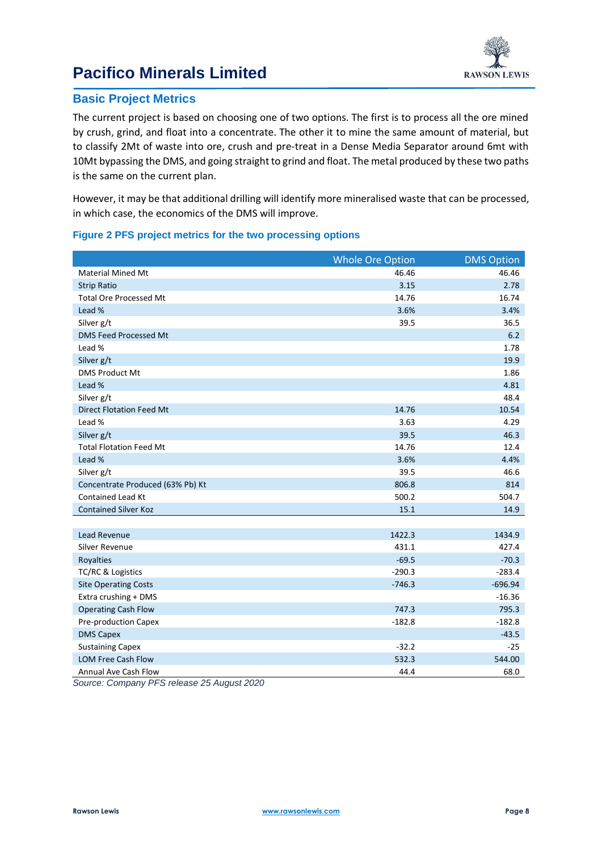

## **Basic Project Metrics**

The current project is based on choosing one of two options. The first is to process all the ore mined by crush, grind, and float into a concentrate. The other it to mine the same amount of material, but to classify 2Mt of waste into ore, crush and pre-treat in a Dense Media Separator around 6mt with 10Mt bypassing the DMS, and going straight to grind and float. The metal produced by these two paths is the same on the current plan.

However, it may be that additional drilling will identify more mineralised waste that can be processed, in which case, the economics of the DMS will improve.

#### **Figure 2 PFS project metrics for the two processing options**

|                                  | <b>Whole Ore Option</b> | <b>DMS Option</b> |
|----------------------------------|-------------------------|-------------------|
| <b>Material Mined Mt</b>         | 46.46                   | 46.46             |
| <b>Strip Ratio</b>               | 3.15                    | 2.78              |
| <b>Total Ore Processed Mt</b>    | 14.76                   | 16.74             |
| Lead %                           | 3.6%                    | 3.4%              |
| Silver g/t                       | 39.5                    | 36.5              |
| DMS Feed Processed Mt            |                         | 6.2               |
| Lead %                           |                         | 1.78              |
| Silver g/t                       |                         | 19.9              |
| <b>DMS Product Mt</b>            |                         | 1.86              |
| Lead %                           |                         | 4.81              |
| Silver g/t                       |                         | 48.4              |
| <b>Direct Flotation Feed Mt</b>  | 14.76                   | 10.54             |
| Lead %                           | 3.63                    | 4.29              |
| Silver g/t                       | 39.5                    | 46.3              |
| <b>Total Flotation Feed Mt</b>   | 14.76                   | 12.4              |
| Lead %                           | 3.6%                    | 4.4%              |
| Silver g/t                       | 39.5                    | 46.6              |
| Concentrate Produced (63% Pb) Kt | 806.8                   | 814               |
| <b>Contained Lead Kt</b>         | 500.2                   | 504.7             |
| <b>Contained Silver Koz</b>      | 15.1                    | 14.9              |
|                                  |                         |                   |
| <b>Lead Revenue</b>              | 1422.3                  | 1434.9            |
| <b>Silver Revenue</b>            | 431.1                   | 427.4             |
| Royalties                        | $-69.5$                 | $-70.3$           |
| TC/RC & Logistics                | $-290.3$                | $-283.4$          |
| <b>Site Operating Costs</b>      | $-746.3$                | $-696.94$         |
| Extra crushing + DMS             |                         | $-16.36$          |
| <b>Operating Cash Flow</b>       | 747.3                   | 795.3             |
| Pre-production Capex             | $-182.8$                | $-182.8$          |
| <b>DMS Capex</b>                 |                         | $-43.5$           |
| <b>Sustaining Capex</b>          | $-32.2$                 | $-25$             |
| <b>LOM Free Cash Flow</b>        | 532.3                   | 544.00            |
| Annual Ave Cash Flow             | 44.4                    | 68.0              |

*Source: Company PFS release 25 August 2020*